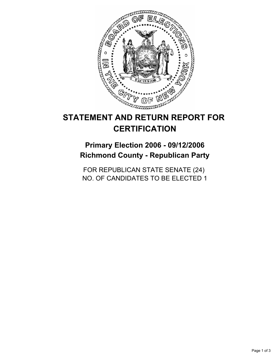

# **STATEMENT AND RETURN REPORT FOR CERTIFICATION**

**Primary Election 2006 - 09/12/2006 Richmond County - Republican Party**

FOR REPUBLICAN STATE SENATE (24) NO. OF CANDIDATES TO BE ELECTED 1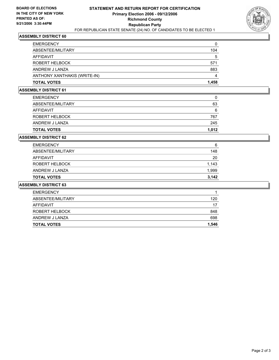

### **ASSEMBLY DISTRICT 60**

| 104   |
|-------|
| 5     |
| 571   |
| 883   |
|       |
| 1,458 |
|       |

#### **ASSEMBLY DISTRICT 61**

| <b>TOTAL VOTES</b> | 1,012 |
|--------------------|-------|
| ANDREW J LANZA     | 245   |
| ROBERT HELBOCK     | 767   |
| AFFIDAVIT          | 6     |
| ABSENTEE/MILITARY  | 63    |
| <b>EMERGENCY</b>   |       |

### **ASSEMBLY DISTRICT 62**

| <b>TOTAL VOTES</b> | 3.142 |
|--------------------|-------|
| ANDREW J LANZA     | 1,999 |
| ROBERT HELBOCK     | 1,143 |
| AFFIDAVIT          | 20    |
| ABSENTEE/MILITARY  | 148   |
| <b>EMERGENCY</b>   | 6     |

### **ASSEMBLY DISTRICT 63**

| <b>TOTAL VOTES</b>    | 1,546 |
|-----------------------|-------|
| ANDREW J LANZA        | 698   |
| <b>ROBERT HELBOCK</b> | 848   |
| AFFIDAVIT             | 17    |
| ABSENTEE/MILITARY     | 120   |
| <b>EMERGENCY</b>      |       |